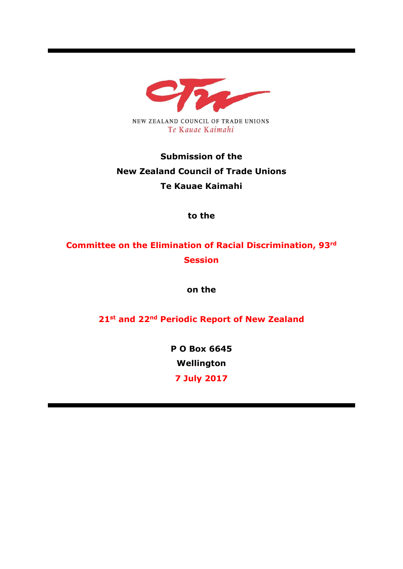

# **Submission of the New Zealand Council of Trade Unions Te Kauae Kaimahi**

**to the** 

# **Committee on the Elimination of Racial Discrimination, 93rd Session**

**on the**

**21st and 22nd Periodic Report of New Zealand**

**P O Box 6645 Wellington**

**7 July 2017**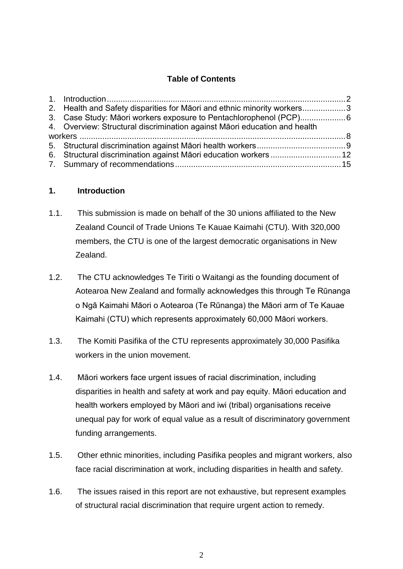### **Table of Contents**

| 2. Health and Safety disparities for Māori and ethnic minority workers3   |  |
|---------------------------------------------------------------------------|--|
| 3. Case Study: Māori workers exposure to Pentachlorophenol (PCP)6         |  |
| 4. Overview: Structural discrimination against Maori education and health |  |
|                                                                           |  |
|                                                                           |  |
| 6. Structural discrimination against Māori education workers  12          |  |
|                                                                           |  |

#### <span id="page-1-0"></span>**1. Introduction**

- 1.1. This submission is made on behalf of the 30 unions affiliated to the New Zealand Council of Trade Unions Te Kauae Kaimahi (CTU). With 320,000 members, the CTU is one of the largest democratic organisations in New Zealand.
- 1.2. The CTU acknowledges Te Tiriti o Waitangi as the founding document of Aotearoa New Zealand and formally acknowledges this through Te Rūnanga o Ngā Kaimahi Māori o Aotearoa (Te Rūnanga) the Māori arm of Te Kauae Kaimahi (CTU) which represents approximately 60,000 Māori workers.
- 1.3. The Komiti Pasifika of the CTU represents approximately 30,000 Pasifika workers in the union movement.
- 1.4. Māori workers face urgent issues of racial discrimination, including disparities in health and safety at work and pay equity. Māori education and health workers employed by Māori and iwi (tribal) organisations receive unequal pay for work of equal value as a result of discriminatory government funding arrangements.
- 1.5. Other ethnic minorities, including Pasifika peoples and migrant workers, also face racial discrimination at work, including disparities in health and safety.
- 1.6. The issues raised in this report are not exhaustive, but represent examples of structural racial discrimination that require urgent action to remedy.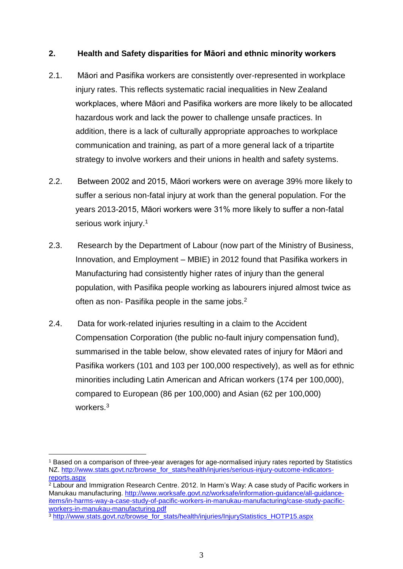#### <span id="page-2-0"></span>**2. Health and Safety disparities for Māori and ethnic minority workers**

- 2.1. Māori and Pasifika workers are consistently over-represented in workplace injury rates. This reflects systematic racial inequalities in New Zealand workplaces, where Māori and Pasifika workers are more likely to be allocated hazardous work and lack the power to challenge unsafe practices. In addition, there is a lack of culturally appropriate approaches to workplace communication and training, as part of a more general lack of a tripartite strategy to involve workers and their unions in health and safety systems.
- 2.2. Between 2002 and 2015, Māori workers were on average 39% more likely to suffer a serious non-fatal injury at work than the general population. For the years 2013-2015, Māori workers were 31% more likely to suffer a non-fatal serious work injury.<sup>1</sup>
- 2.3. Research by the Department of Labour (now part of the Ministry of Business, Innovation, and Employment – MBIE) in 2012 found that Pasifika workers in Manufacturing had consistently higher rates of injury than the general population, with Pasifika people working as labourers injured almost twice as often as non- Pasifika people in the same jobs.<sup>2</sup>
- 2.4. Data for work-related injuries resulting in a claim to the Accident Compensation Corporation (the public no-fault injury compensation fund), summarised in the table below, show elevated rates of injury for Māori and Pasifika workers (101 and 103 per 100,000 respectively), as well as for ethnic minorities including Latin American and African workers (174 per 100,000), compared to European (86 per 100,000) and Asian (62 per 100,000) workers.<sup>3</sup>

<u>.</u>

<sup>1</sup> Based on a comparison of three-year averages for age-normalised injury rates reported by Statistics NZ. [http://www.stats.govt.nz/browse\\_for\\_stats/health/injuries/serious-injury-outcome-indicators](http://www.stats.govt.nz/browse_for_stats/health/injuries/serious-injury-outcome-indicators-reports.aspx)[reports.aspx](http://www.stats.govt.nz/browse_for_stats/health/injuries/serious-injury-outcome-indicators-reports.aspx)

<sup>2</sup> Labour and Immigration Research Centre. 2012. In Harm's Way: A case study of Pacific workers in Manukau manufacturing. [http://www.worksafe.govt.nz/worksafe/information-guidance/all-guidance](http://www.worksafe.govt.nz/worksafe/information-guidance/all-guidance-items/in-harms-way-a-case-study-of-pacific-workers-in-manukau-manufacturing/case-study-pacific-workers-in-manukau-manufacturing.pdf)[items/in-harms-way-a-case-study-of-pacific-workers-in-manukau-manufacturing/case-study-pacific](http://www.worksafe.govt.nz/worksafe/information-guidance/all-guidance-items/in-harms-way-a-case-study-of-pacific-workers-in-manukau-manufacturing/case-study-pacific-workers-in-manukau-manufacturing.pdf)[workers-in-manukau-manufacturing.pdf](http://www.worksafe.govt.nz/worksafe/information-guidance/all-guidance-items/in-harms-way-a-case-study-of-pacific-workers-in-manukau-manufacturing/case-study-pacific-workers-in-manukau-manufacturing.pdf)

<sup>3</sup> [http://www.stats.govt.nz/browse\\_for\\_stats/health/injuries/InjuryStatistics\\_HOTP15.aspx](http://www.stats.govt.nz/browse_for_stats/health/injuries/InjuryStatistics_HOTP15.aspx)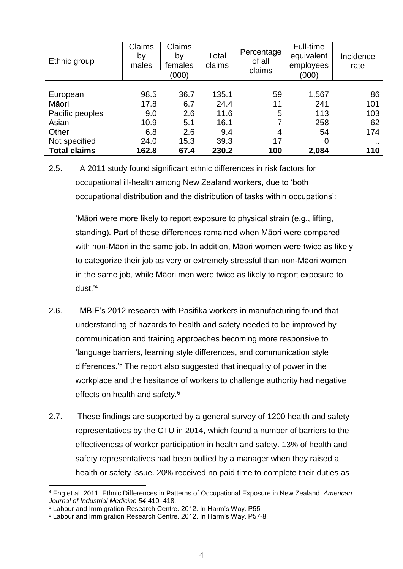| Ethnic group        | Claims<br>by<br>males | <b>Claims</b><br>by<br>females<br>(000) | Total<br>claims | Percentage<br>of all<br>claims | Full-time<br>equivalent<br>employees<br>(000) | Incidence<br>rate |
|---------------------|-----------------------|-----------------------------------------|-----------------|--------------------------------|-----------------------------------------------|-------------------|
|                     |                       |                                         |                 |                                |                                               |                   |
| European            | 98.5                  | 36.7                                    | 135.1           | 59                             | 1,567                                         | 86                |
| Māori               | 17.8                  | 6.7                                     | 24.4            | 11                             | 241                                           | 101               |
| Pacific peoples     | 9.0                   | 2.6                                     | 11.6            | 5                              | 113                                           | 103               |
| Asian               | 10.9                  | 5.1                                     | 16.1            | 7                              | 258                                           | 62                |
| Other               | 6.8                   | 2.6                                     | 9.4             | 4                              | 54                                            | 174               |
| Not specified       | 24.0                  | 15.3                                    | 39.3            | 17                             | 0                                             | $\sim$ $\sim$     |
| <b>Total claims</b> | 162.8                 | 67.4                                    | 230.2           | 100                            | 2,084                                         | 110               |

2.5. A 2011 study found significant ethnic differences in risk factors for occupational ill-health among New Zealand workers, due to 'both occupational distribution and the distribution of tasks within occupations':

'Māori were more likely to report exposure to physical strain (e.g., lifting, standing). Part of these differences remained when Māori were compared with non-Māori in the same job. In addition, Māori women were twice as likely to categorize their job as very or extremely stressful than non-Māori women in the same job, while Māori men were twice as likely to report exposure to dust.' 4

- 2.6. MBIE's 2012 research with Pasifika workers in manufacturing found that understanding of hazards to health and safety needed to be improved by communication and training approaches becoming more responsive to 'language barriers, learning style differences, and communication style differences.'<sup>5</sup> The report also suggested that inequality of power in the workplace and the hesitance of workers to challenge authority had negative effects on health and safety.<sup>6</sup>
- 2.7. These findings are supported by a general survey of 1200 health and safety representatives by the CTU in 2014, which found a number of barriers to the effectiveness of worker participation in health and safety. 13% of health and safety representatives had been bullied by a manager when they raised a health or safety issue. 20% received no paid time to complete their duties as

<sup>1</sup> <sup>4</sup> Eng et al. 2011. Ethnic Differences in Patterns of Occupational Exposure in New Zealand. *American Journal of Industrial Medicine 54*:410–418.

<sup>5</sup> Labour and Immigration Research Centre. 2012. In Harm's Way. P55

<sup>6</sup> Labour and Immigration Research Centre. 2012. In Harm's Way. P57-8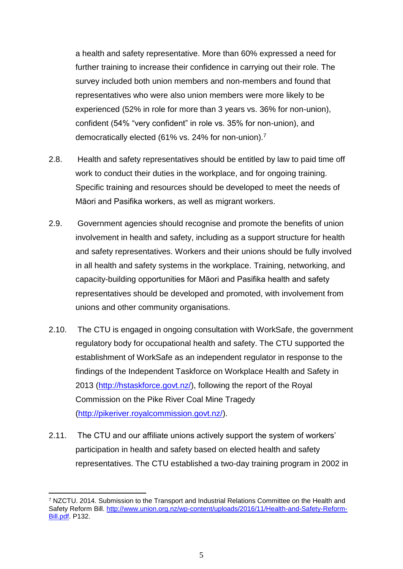a health and safety representative. More than 60% expressed a need for further training to increase their confidence in carrying out their role. The survey included both union members and non-members and found that representatives who were also union members were more likely to be experienced (52% in role for more than 3 years vs. 36% for non-union), confident (54% "very confident" in role vs. 35% for non-union), and democratically elected (61% vs. 24% for non-union). 7

- 2.8. Health and safety representatives should be entitled by law to paid time off work to conduct their duties in the workplace, and for ongoing training. Specific training and resources should be developed to meet the needs of Māori and Pasifika workers, as well as migrant workers.
- 2.9. Government agencies should recognise and promote the benefits of union involvement in health and safety, including as a support structure for health and safety representatives. Workers and their unions should be fully involved in all health and safety systems in the workplace. Training, networking, and capacity-building opportunities for Māori and Pasifika health and safety representatives should be developed and promoted, with involvement from unions and other community organisations.
- 2.10. The CTU is engaged in ongoing consultation with WorkSafe, the government regulatory body for occupational health and safety. The CTU supported the establishment of WorkSafe as an independent regulator in response to the findings of the Independent Taskforce on Workplace Health and Safety in 2013 [\(http://hstaskforce.govt.nz/\)](http://hstaskforce.govt.nz/), following the report of the Royal Commission on the Pike River Coal Mine Tragedy [\(http://pikeriver.royalcommission.govt.nz/\)](http://pikeriver.royalcommission.govt.nz/).
- 2.11. The CTU and our affiliate unions actively support the system of workers' participation in health and safety based on elected health and safety representatives. The CTU established a two-day training program in 2002 in

<sup>1</sup> <sup>7</sup> NZCTU. 2014. Submission to the Transport and Industrial Relations Committee on the Health and Safety Reform Bill. [http://www.union.org.nz/wp-content/uploads/2016/11/Health-and-Safety-Reform-](http://www.union.org.nz/wp-content/uploads/2016/11/Health-and-Safety-Reform-Bill.pdf)[Bill.pdf.](http://www.union.org.nz/wp-content/uploads/2016/11/Health-and-Safety-Reform-Bill.pdf) P132.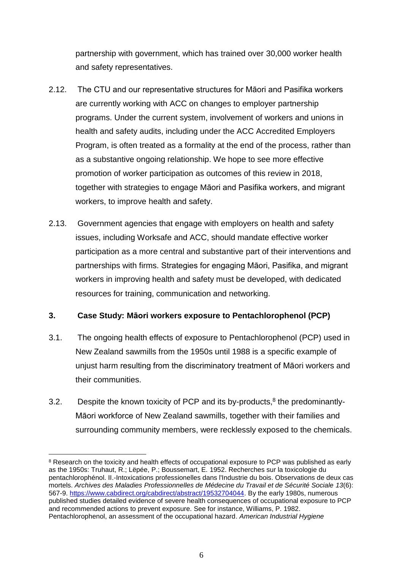partnership with government, which has trained over 30,000 worker health and safety representatives.

- 2.12. The CTU and our representative structures for Māori and Pasifika workers are currently working with ACC on changes to employer partnership programs. Under the current system, involvement of workers and unions in health and safety audits, including under the ACC Accredited Employers Program, is often treated as a formality at the end of the process, rather than as a substantive ongoing relationship. We hope to see more effective promotion of worker participation as outcomes of this review in 2018, together with strategies to engage Māori and Pasifika workers, and migrant workers, to improve health and safety.
- 2.13. Government agencies that engage with employers on health and safety issues, including Worksafe and ACC, should mandate effective worker participation as a more central and substantive part of their interventions and partnerships with firms. Strategies for engaging Māori, Pasifika, and migrant workers in improving health and safety must be developed, with dedicated resources for training, communication and networking.

### <span id="page-5-0"></span>**3. Case Study: Māori workers exposure to Pentachlorophenol (PCP)**

- 3.1. The ongoing health effects of exposure to Pentachlorophenol (PCP) used in New Zealand sawmills from the 1950s until 1988 is a specific example of unjust harm resulting from the discriminatory treatment of Māori workers and their communities.
- 3.2. Despite the known toxicity of PCP and its by-products, $8$  the predominantly-Māori workforce of New Zealand sawmills, together with their families and surrounding community members, were recklessly exposed to the chemicals.

<u>.</u>

 $8$  Research on the toxicity and health effects of occupational exposure to PCP was published as early as the 1950s: Truhaut, R.; Lëpée, P.; Boussemart, E. 1952. Recherches sur la toxicologie du pentachlorophénol. II.-Intoxications professionelles dans l'Industrie du bois. Observations de deux cas mortels. *Archives des Maladies Professionnelles de Médecine du Travail et de Sécurité Sociale 13*(6): 567-9. [https://www.cabdirect.org/cabdirect/abstract/19532704044.](https://www.cabdirect.org/cabdirect/abstract/19532704044) By the early 1980s, numerous published studies detailed evidence of severe health consequences of occupational exposure to PCP and recommended actions to prevent exposure. See for instance, Williams, P. 1982. Pentachlorophenol, an assessment of the occupational hazard. *American Industrial Hygiene*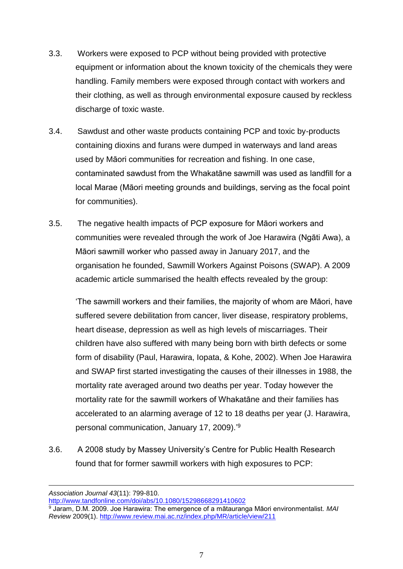- 3.3. Workers were exposed to PCP without being provided with protective equipment or information about the known toxicity of the chemicals they were handling. Family members were exposed through contact with workers and their clothing, as well as through environmental exposure caused by reckless discharge of toxic waste.
- 3.4. Sawdust and other waste products containing PCP and toxic by-products containing dioxins and furans were dumped in waterways and land areas used by Māori communities for recreation and fishing. In one case, contaminated sawdust from the Whakatāne sawmill was used as landfill for a local Marae (Māori meeting grounds and buildings, serving as the focal point for communities).
- 3.5. The negative health impacts of PCP exposure for Māori workers and communities were revealed through the work of Joe Harawira (Ngāti Awa), a Māori sawmill worker who passed away in January 2017, and the organisation he founded, Sawmill Workers Against Poisons (SWAP). A 2009 academic article summarised the health effects revealed by the group:

'The sawmill workers and their families, the majority of whom are Māori, have suffered severe debilitation from cancer, liver disease, respiratory problems, heart disease, depression as well as high levels of miscarriages. Their children have also suffered with many being born with birth defects or some form of disability (Paul, Harawira, Iopata, & Kohe, 2002). When Joe Harawira and SWAP first started investigating the causes of their illnesses in 1988, the mortality rate averaged around two deaths per year. Today however the mortality rate for the sawmill workers of Whakatāne and their families has accelerated to an alarming average of 12 to 18 deaths per year (J. Harawira, personal communication, January 17, 2009).' 9

3.6. A 2008 study by Massey University's Centre for Public Health Research found that for former sawmill workers with high exposures to PCP:

1

<http://www.tandfonline.com/doi/abs/10.1080/15298668291410602>

*Association Journal 43*(11): 799-810.

<sup>9</sup> Jaram, D.M. 2009. Joe Harawira: The emergence of a mātauranga Māori environmentalist. *MAI Review* 2009(1).<http://www.review.mai.ac.nz/index.php/MR/article/view/211>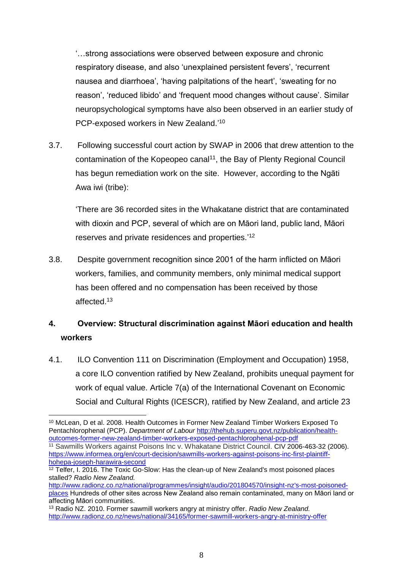'…strong associations were observed between exposure and chronic respiratory disease, and also 'unexplained persistent fevers', 'recurrent nausea and diarrhoea', 'having palpitations of the heart', 'sweating for no reason', 'reduced libido' and 'frequent mood changes without cause'. Similar neuropsychological symptoms have also been observed in an earlier study of PCP-exposed workers in New Zealand.'<sup>10</sup>

3.7. Following successful court action by SWAP in 2006 that drew attention to the contamination of the Kopeopeo canal<sup>11</sup>, the Bay of Plenty Regional Council has begun remediation work on the site. However, according to the Ngāti Awa iwi (tribe):

'There are 36 recorded sites in the Whakatane district that are contaminated with dioxin and PCP, several of which are on Māori land, public land, Māori reserves and private residences and properties.'<sup>12</sup>

3.8. Despite government recognition since 2001 of the harm inflicted on Māori workers, families, and community members, only minimal medical support has been offered and no compensation has been received by those affected.<sup>13</sup>

## <span id="page-7-0"></span>**4. Overview: Structural discrimination against Māori education and health workers**

4.1. ILO Convention 111 on Discrimination (Employment and Occupation) 1958, a core ILO convention ratified by New Zealand, prohibits unequal payment for work of equal value. Article 7(a) of the International Covenant on Economic Social and Cultural Rights (ICESCR), ratified by New Zealand, and article 23

<sup>&</sup>lt;u>.</u> <sup>10</sup> McLean, D et al. 2008. Health Outcomes in Former New Zealand Timber Workers Exposed To Pentachlorophenal (PCP). *Department of Labour* [http://thehub.superu.govt.nz/publication/health](http://thehub.superu.govt.nz/publication/health-outcomes-former-new-zealand-timber-workers-exposed-pentachlorophenal-pcp-pdf)[outcomes-former-new-zealand-timber-workers-exposed-pentachlorophenal-pcp-pdf](http://thehub.superu.govt.nz/publication/health-outcomes-former-new-zealand-timber-workers-exposed-pentachlorophenal-pcp-pdf) <sup>11</sup> Sawmills Workers against Poisons Inc v. Whakatane District Council. CIV 2006-463-32 (2006). [https://www.informea.org/en/court-decision/sawmills-workers-against-poisons-inc-first-plaintiff](https://www.informea.org/en/court-decision/sawmills-workers-against-poisons-inc-first-plaintiff-hohepa-joseph-harawira-second)[hohepa-joseph-harawira-second](https://www.informea.org/en/court-decision/sawmills-workers-against-poisons-inc-first-plaintiff-hohepa-joseph-harawira-second)

<sup>&</sup>lt;sup>12</sup> Telfer, I. 2016. The Toxic Go-Slow: Has the clean-up of New Zealand's most poisoned places stalled? *Radio New Zealand.* 

[http://www.radionz.co.nz/national/programmes/insight/audio/201804570/insight-nz's-most-poisoned](http://www.radionz.co.nz/national/programmes/insight/audio/201804570/insight-nz)[places](http://www.radionz.co.nz/national/programmes/insight/audio/201804570/insight-nz) Hundreds of other sites across New Zealand also remain contaminated, many on Māori land or affecting Māori communities.

<sup>13</sup> Radio NZ. 2010. Former sawmill workers angry at ministry offer. *Radio New Zealand.*  <http://www.radionz.co.nz/news/national/34165/former-sawmill-workers-angry-at-ministry-offer>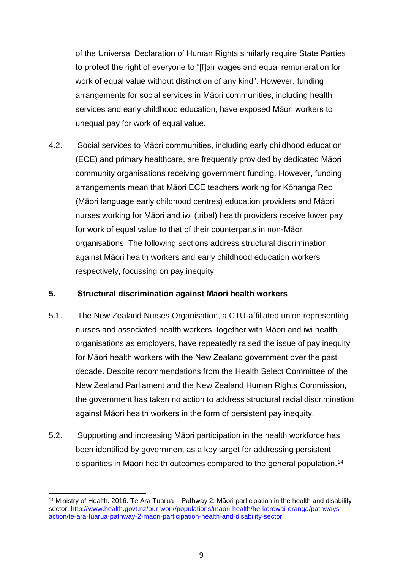of the Universal Declaration of Human Rights similarly require State Parties to protect the right of everyone to "[f]air wages and equal remuneration for work of equal value without distinction of any kind". However, funding arrangements for social services in Māori communities, including health services and early childhood education, have exposed Māori workers to unequal pay for work of equal value.

4.2. Social services to Māori communities, including early childhood education (ECE) and primary healthcare, are frequently provided by dedicated Māori community organisations receiving government funding. However, funding arrangements mean that Māori ECE teachers working for Kōhanga Reo (Māori language early childhood centres) education providers and Māori nurses working for Māori and iwi (tribal) health providers receive lower pay for work of equal value to that of their counterparts in non-Māori organisations. The following sections address structural discrimination against Māori health workers and early childhood education workers respectively, focussing on pay inequity.

#### <span id="page-8-0"></span>**5. Structural discrimination against Māori health workers**

- 5.1. The New Zealand Nurses Organisation, a CTU-affiliated union representing nurses and associated health workers, together with Māori and iwi health organisations as employers, have repeatedly raised the issue of pay inequity for Māori health workers with the New Zealand government over the past decade. Despite recommendations from the Health Select Committee of the New Zealand Parliament and the New Zealand Human Rights Commission, the government has taken no action to address structural racial discrimination against Māori health workers in the form of persistent pay inequity.
- 5.2. Supporting and increasing Māori participation in the health workforce has been identified by government as a key target for addressing persistent disparities in Māori health outcomes compared to the general population.<sup>14</sup>

<sup>1</sup> <sup>14</sup> Ministry of Health. 2016. Te Ara Tuarua – Pathway 2: Māori participation in the health and disability sector. [http://www.health.govt.nz/our-work/populations/maori-health/he-korowai-oranga/pathways](http://www.health.govt.nz/our-work/populations/maori-health/he-korowai-oranga/pathways-action/te-ara-tuarua-pathway-2-maori-participation-health-and-disability-sector)[action/te-ara-tuarua-pathway-2-maori-participation-health-and-disability-sector](http://www.health.govt.nz/our-work/populations/maori-health/he-korowai-oranga/pathways-action/te-ara-tuarua-pathway-2-maori-participation-health-and-disability-sector)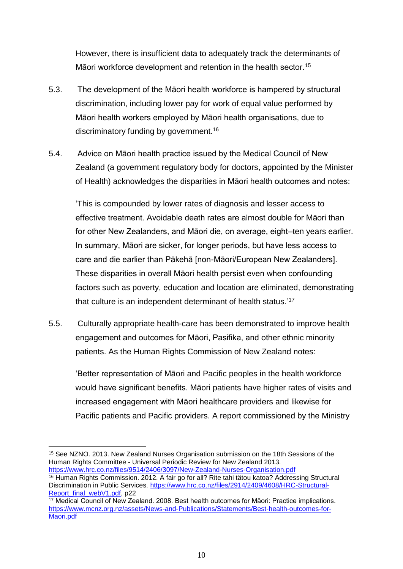However, there is insufficient data to adequately track the determinants of Māori workforce development and retention in the health sector.<sup>15</sup>

- 5.3. The development of the Māori health workforce is hampered by structural discrimination, including lower pay for work of equal value performed by Māori health workers employed by Māori health organisations, due to discriminatory funding by government. 16
- 5.4. Advice on Māori health practice issued by the Medical Council of New Zealand (a government regulatory body for doctors, appointed by the Minister of Health) acknowledges the disparities in Māori health outcomes and notes:

'This is compounded by lower rates of diagnosis and lesser access to effective treatment. Avoidable death rates are almost double for Māori than for other New Zealanders, and Māori die, on average, eight–ten years earlier. In summary, Māori are sicker, for longer periods, but have less access to care and die earlier than Pākehā [non-Māori/European New Zealanders]. These disparities in overall Māori health persist even when confounding factors such as poverty, education and location are eliminated, demonstrating that culture is an independent determinant of health status.' 17

5.5. Culturally appropriate health-care has been demonstrated to improve health engagement and outcomes for Māori, Pasifika, and other ethnic minority patients. As the Human Rights Commission of New Zealand notes:

'Better representation of Māori and Pacific peoples in the health workforce would have significant benefits. Māori patients have higher rates of visits and increased engagement with Māori healthcare providers and likewise for Pacific patients and Pacific providers. A report commissioned by the Ministry

<sup>&</sup>lt;u>.</u> <sup>15</sup> See NZNO. 2013. New Zealand Nurses Organisation submission on the 18th Sessions of the Human Rights Committee - Universal Periodic Review for New Zealand 2013. <https://www.hrc.co.nz/files/9514/2406/3097/New-Zealand-Nurses-Organisation.pdf>

<sup>16</sup> Human Rights Commission. 2012. A fair go for all? Rite tahi tätou katoa? Addressing Structural Discrimination in Public Services. [https://www.hrc.co.nz/files/2914/2409/4608/HRC-Structural-](https://www.hrc.co.nz/files/2914/2409/4608/HRC-Structural-Report_final_webV1.pdf)[Report\\_final\\_webV1.pdf,](https://www.hrc.co.nz/files/2914/2409/4608/HRC-Structural-Report_final_webV1.pdf) p22

<sup>&</sup>lt;sup>17</sup> Medical Council of New Zealand. 2008. Best health outcomes for Māori: Practice implications. [https://www.mcnz.org.nz/assets/News-and-Publications/Statements/Best-health-outcomes-for-](https://www.mcnz.org.nz/assets/News-and-Publications/Statements/Best-health-outcomes-for-Maori.pdf)[Maori.pdf](https://www.mcnz.org.nz/assets/News-and-Publications/Statements/Best-health-outcomes-for-Maori.pdf)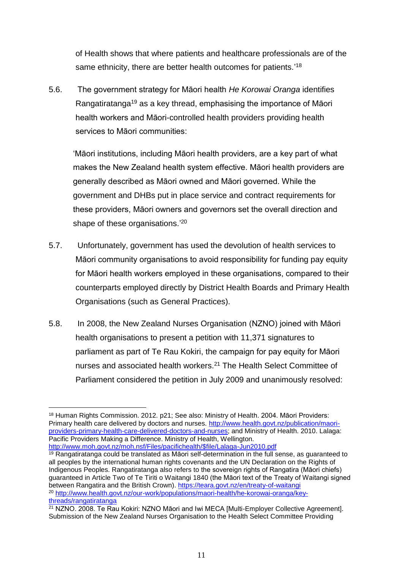of Health shows that where patients and healthcare professionals are of the same ethnicity, there are better health outcomes for patients.'<sup>18</sup>

5.6. The government strategy for Māori health *He Korowai Oranga* identifies Rangatiratanga<sup>19</sup> as a key thread, emphasising the importance of Māori health workers and Māori-controlled health providers providing health services to Māori communities:

'Māori institutions, including Māori health providers, are a key part of what makes the New Zealand health system effective. Māori health providers are generally described as Māori owned and Māori governed. While the government and DHBs put in place service and contract requirements for these providers, Māori owners and governors set the overall direction and shape of these organisations.'20

- 5.7. Unfortunately, government has used the devolution of health services to Māori community organisations to avoid responsibility for funding pay equity for Māori health workers employed in these organisations, compared to their counterparts employed directly by District Health Boards and Primary Health Organisations (such as General Practices).
- 5.8. In 2008, the New Zealand Nurses Organisation (NZNO) joined with Māori health organisations to present a petition with 11,371 signatures to parliament as part of Te Rau Kokiri, the campaign for pay equity for Māori nurses and associated health workers.<sup>21</sup> The Health Select Committee of Parliament considered the petition in July 2009 and unanimously resolved:

<sup>19</sup> Rangatiratanga could be translated as Māori self-determination in the full sense, as guaranteed to all peoples by the international human rights covenants and the UN Declaration on the Rights of Indigenous Peoples. Rangatiratanga also refers to the sovereign rights of Rangatira (Māori chiefs) guaranteed in Article Two of Te Tiriti o Waitangi 1840 (the Māori text of the Treaty of Waitangi signed between Rangatira and the British Crown). <https://teara.govt.nz/en/treaty-of-waitangi> <sup>20</sup> [http://www.health.govt.nz/our-work/populations/maori-health/he-korowai-oranga/key](http://www.health.govt.nz/our-work/populations/maori-health/he-korowai-oranga/key-threads/rangatiratanga)[threads/rangatiratanga](http://www.health.govt.nz/our-work/populations/maori-health/he-korowai-oranga/key-threads/rangatiratanga)

<sup>&</sup>lt;u>.</u> <sup>18</sup> Human Rights Commission. 2012. p21; See also: Ministry of Health. 2004. Māori Providers: Primary health care delivered by doctors and nurses. [http://www.health.govt.nz/publication/maori](http://www.health.govt.nz/publication/maori-providers-primary-health-care-delivered-doctors-and-nurses)[providers-primary-health-care-delivered-doctors-and-nurses;](http://www.health.govt.nz/publication/maori-providers-primary-health-care-delivered-doctors-and-nurses) and Ministry of Health. 2010. Lalaga: Pacific Providers Making a Difference. Ministry of Health, Wellington. [http://www.moh.govt.nz/moh.nsf/Files/pacifichealth/\\$file/Lalaga-Jun2010.pdf](http://www.moh.govt.nz/moh.nsf/Files/pacifichealth/$file/Lalaga-Jun2010.pdf)

<sup>21</sup> NZNO. 2008. Te Rau Kokiri: NZNO Māori and Iwi MECA [Multi-Employer Collective Agreement]. Submission of the New Zealand Nurses Organisation to the Health Select Committee Providing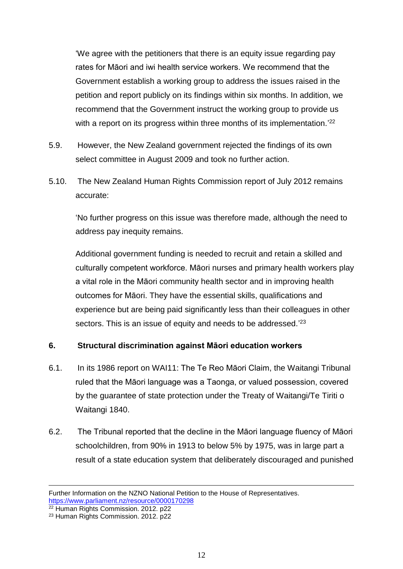'We agree with the petitioners that there is an equity issue regarding pay rates for Māori and iwi health service workers. We recommend that the Government establish a working group to address the issues raised in the petition and report publicly on its findings within six months. In addition, we recommend that the Government instruct the working group to provide us with a report on its progress within three months of its implementation.'<sup>22</sup>

- 5.9. However, the New Zealand government rejected the findings of its own select committee in August 2009 and took no further action.
- 5.10. The New Zealand Human Rights Commission report of July 2012 remains accurate:

'No further progress on this issue was therefore made, although the need to address pay inequity remains.

Additional government funding is needed to recruit and retain a skilled and culturally competent workforce. Māori nurses and primary health workers play a vital role in the Māori community health sector and in improving health outcomes for Māori. They have the essential skills, qualifications and experience but are being paid significantly less than their colleagues in other sectors. This is an issue of equity and needs to be addressed.<sup>23</sup>

### <span id="page-11-0"></span>**6. Structural discrimination against Māori education workers**

- 6.1. In its 1986 report on WAI11: The Te Reo Māori Claim, the Waitangi Tribunal ruled that the Māori language was a Taonga, or valued possession, covered by the guarantee of state protection under the Treaty of Waitangi/Te Tiriti o Waitangi 1840.
- 6.2. The Tribunal reported that the decline in the Māori language fluency of Māori schoolchildren, from 90% in 1913 to below 5% by 1975, was in large part a result of a state education system that deliberately discouraged and punished

1

Further Information on the NZNO National Petition to the House of Representatives. <https://www.parliament.nz/resource/0000170298>

<sup>22</sup> Human Rights Commission. 2012. p22

<sup>23</sup> Human Rights Commission. 2012. p22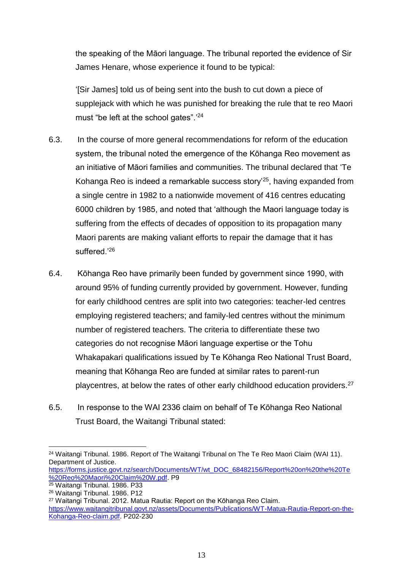the speaking of the Māori language. The tribunal reported the evidence of Sir James Henare, whose experience it found to be typical:

'[Sir James] told us of being sent into the bush to cut down a piece of supplejack with which he was punished for breaking the rule that te reo Maori must "be left at the school gates".' 24

- 6.3. In the course of more general recommendations for reform of the education system, the tribunal noted the emergence of the Kōhanga Reo movement as an initiative of Māori families and communities. The tribunal declared that 'Te Kohanga Reo is indeed a remarkable success story'<sup>25</sup>, having expanded from a single centre in 1982 to a nationwide movement of 416 centres educating 6000 children by 1985, and noted that 'although the Maori language today is suffering from the effects of decades of opposition to its propagation many Maori parents are making valiant efforts to repair the damage that it has suffered.'<sup>26</sup>
- 6.4. Kōhanga Reo have primarily been funded by government since 1990, with around 95% of funding currently provided by government. However, funding for early childhood centres are split into two categories: teacher-led centres employing registered teachers; and family-led centres without the minimum number of registered teachers. The criteria to differentiate these two categories do not recognise Māori language expertise or the Tohu Whakapakari qualifications issued by Te Kōhanga Reo National Trust Board, meaning that Kōhanga Reo are funded at similar rates to parent-run playcentres, at below the rates of other early childhood education providers.<sup>27</sup>
- 6.5. In response to the WAI 2336 claim on behalf of Te Kōhanga Reo National Trust Board, the Waitangi Tribunal stated:

<sup>&</sup>lt;u>.</u> <sup>24</sup> Waitangi Tribunal. 1986. Report of The Waitangi Tribunal on The Te Reo Maori Claim (WAI 11). Department of Justice.

[https://forms.justice.govt.nz/search/Documents/WT/wt\\_DOC\\_68482156/Report%20on%20the%20Te](https://forms.justice.govt.nz/search/Documents/WT/wt_DOC_68482156/Report%20on%20the%20Te%20Reo%20Maori%20Claim%20W.pdf) [%20Reo%20Maori%20Claim%20W.pdf.](https://forms.justice.govt.nz/search/Documents/WT/wt_DOC_68482156/Report%20on%20the%20Te%20Reo%20Maori%20Claim%20W.pdf) P9

<sup>25</sup> Waitangi Tribunal. 1986. P33

<sup>26</sup> Waitangi Tribunal. 1986. P12

<sup>27</sup> Waitangi Tribunal. 2012. Matua Rautia: Report on the Kōhanga Reo Claim. [https://www.waitangitribunal.govt.nz/assets/Documents/Publications/WT-Matua-Rautia-Report-on-the-](https://www.waitangitribunal.govt.nz/assets/Documents/Publications/WT-Matua-Rautia-Report-on-the-Kohanga-Reo-claim.pdf)[Kohanga-Reo-claim.pdf.](https://www.waitangitribunal.govt.nz/assets/Documents/Publications/WT-Matua-Rautia-Report-on-the-Kohanga-Reo-claim.pdf) P202-230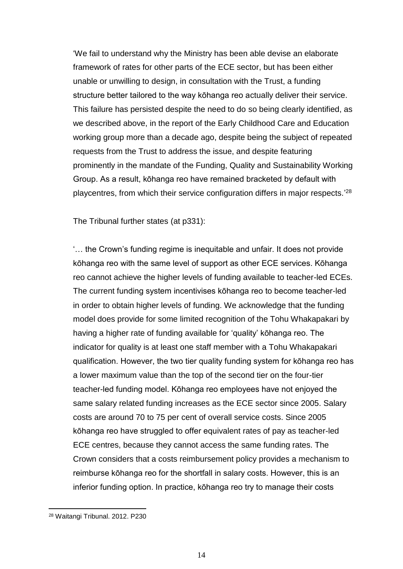'We fail to understand why the Ministry has been able devise an elaborate framework of rates for other parts of the ECE sector, but has been either unable or unwilling to design, in consultation with the Trust, a funding structure better tailored to the way kōhanga reo actually deliver their service. This failure has persisted despite the need to do so being clearly identified, as we described above, in the report of the Early Childhood Care and Education working group more than a decade ago, despite being the subject of repeated requests from the Trust to address the issue, and despite featuring prominently in the mandate of the Funding, Quality and Sustainability Working Group. As a result, kōhanga reo have remained bracketed by default with playcentres, from which their service configuration differs in major respects.' 28

The Tribunal further states (at p331):

'… the Crown's funding regime is inequitable and unfair. It does not provide kōhanga reo with the same level of support as other ECE services. Kōhanga reo cannot achieve the higher levels of funding available to teacher-led ECEs. The current funding system incentivises kōhanga reo to become teacher-led in order to obtain higher levels of funding. We acknowledge that the funding model does provide for some limited recognition of the Tohu Whakapakari by having a higher rate of funding available for 'quality' kōhanga reo. The indicator for quality is at least one staff member with a Tohu Whakapakari qualification. However, the two tier quality funding system for kōhanga reo has a lower maximum value than the top of the second tier on the four-tier teacher-led funding model. Kōhanga reo employees have not enjoyed the same salary related funding increases as the ECE sector since 2005. Salary costs are around 70 to 75 per cent of overall service costs. Since 2005 kōhanga reo have struggled to offer equivalent rates of pay as teacher-led ECE centres, because they cannot access the same funding rates. The Crown considers that a costs reimbursement policy provides a mechanism to reimburse kōhanga reo for the shortfall in salary costs. However, this is an inferior funding option. In practice, kōhanga reo try to manage their costs

-

<sup>28</sup> Waitangi Tribunal. 2012. P230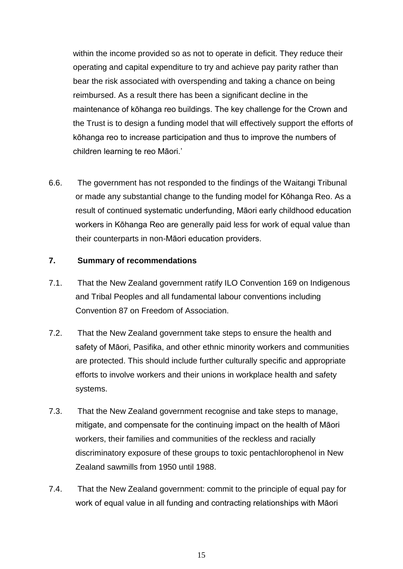within the income provided so as not to operate in deficit. They reduce their operating and capital expenditure to try and achieve pay parity rather than bear the risk associated with overspending and taking a chance on being reimbursed. As a result there has been a significant decline in the maintenance of kōhanga reo buildings. The key challenge for the Crown and the Trust is to design a funding model that will effectively support the efforts of kōhanga reo to increase participation and thus to improve the numbers of children learning te reo Māori.'

6.6. The government has not responded to the findings of the Waitangi Tribunal or made any substantial change to the funding model for Kōhanga Reo. As a result of continued systematic underfunding, Māori early childhood education workers in Kōhanga Reo are generally paid less for work of equal value than their counterparts in non-Māori education providers.

#### <span id="page-14-0"></span>**7. Summary of recommendations**

- 7.1. That the New Zealand government ratify ILO Convention 169 on Indigenous and Tribal Peoples and all fundamental labour conventions including Convention 87 on Freedom of Association.
- 7.2. That the New Zealand government take steps to ensure the health and safety of Māori, Pasifika, and other ethnic minority workers and communities are protected. This should include further culturally specific and appropriate efforts to involve workers and their unions in workplace health and safety systems.
- 7.3. That the New Zealand government recognise and take steps to manage, mitigate, and compensate for the continuing impact on the health of Māori workers, their families and communities of the reckless and racially discriminatory exposure of these groups to toxic pentachlorophenol in New Zealand sawmills from 1950 until 1988.
- 7.4. That the New Zealand government: commit to the principle of equal pay for work of equal value in all funding and contracting relationships with Māori